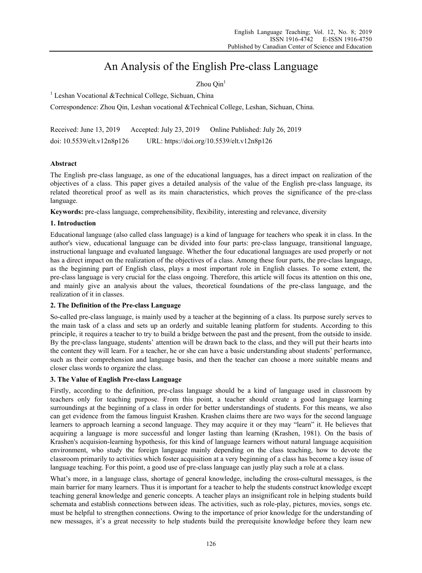# An Analysis of the English Pre-class Language

Zhou  $\text{Oin}^1$ 

<sup>1</sup> Leshan Vocational &Technical College, Sichuan, China

Correspondence: Zhou Qin, Leshan vocational &Technical College, Leshan, Sichuan, China.

Received: June 13, 2019 Accepted: July 23, 2019 Online Published: July 26, 2019 doi: 10.5539/elt.v12n8p126 URL: https://doi.org/10.5539/elt.v12n8p126

## **Abstract**

The English pre-class language, as one of the educational languages, has a direct impact on realization of the objectives of a class. This paper gives a detailed analysis of the value of the English pre-class language, its related theoretical proof as well as its main characteristics, which proves the significance of the pre-class language.

**Keywords:** pre-class language, comprehensibility, flexibility, interesting and relevance, diversity

#### **1. Introduction**

Educational language (also called class language) is a kind of language for teachers who speak it in class. In the author's view, educational language can be divided into four parts: pre-class language, transitional language, instructional language and evaluated language. Whether the four educational languages are used properly or not has a direct impact on the realization of the objectives of a class. Among these four parts, the pre-class language, as the beginning part of English class, plays a most important role in English classes. To some extent, the pre-class language is very crucial for the class ongoing. Therefore, this article will focus its attention on this one, and mainly give an analysis about the values, theoretical foundations of the pre-class language, and the realization of it in classes.

#### **2. The Definition of the Pre-class Language**

So-called pre-class language, is mainly used by a teacher at the beginning of a class. Its purpose surely serves to the main task of a class and sets up an orderly and suitable leaning platform for students. According to this principle, it requires a teacher to try to build a bridge between the past and the present, from the outside to inside. By the pre-class language, students' attention will be drawn back to the class, and they will put their hearts into the content they will learn. For a teacher, he or she can have a basic understanding about students' performance, such as their comprehension and language basis, and then the teacher can choose a more suitable means and closer class words to organize the class.

## **3. The Value of English Pre-class Language**

Firstly, according to the definition, pre-class language should be a kind of language used in classroom by teachers only for teaching purpose. From this point, a teacher should create a good language learning surroundings at the beginning of a class in order for better understandings of students. For this means, we also can get evidence from the famous linguist Krashen. Krashen claims there are two ways for the second language learners to approach learning a second language. They may acquire it or they may "learn" it. He believes that acquiring a language is more successful and longer lasting than learning (Krashen, 1981). On the basis of Krashen's acquision-learning hypothesis, for this kind of language learners without natural language acquisition environment, who study the foreign language mainly depending on the class teaching, how to devote the classroom primarily to activities which foster acquisition at a very beginning of a class has become a key issue of language teaching. For this point, a good use of pre-class language can justly play such a role at a class.

What's more, in a language class, shortage of general knowledge, including the cross-cultural messages, is the main barrier for many learners. Thus it is important for a teacher to help the students construct knowledge except teaching general knowledge and generic concepts. A teacher plays an insignificant role in helping students build schemata and establish connections between ideas. The activities, such as role-play, pictures, movies, songs etc. must be helpful to strengthen connections. Owing to the importance of prior knowledge for the understanding of new messages, it's a great necessity to help students build the prerequisite knowledge before they learn new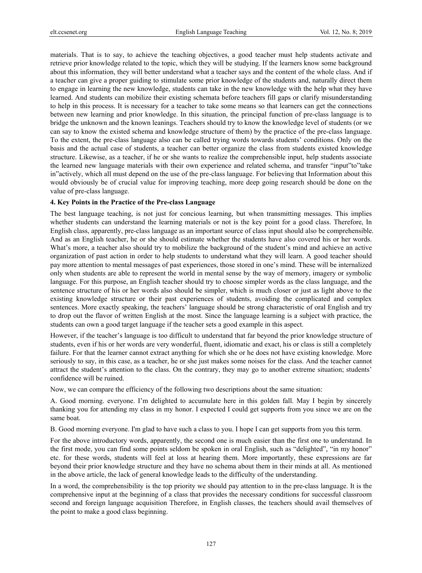materials. That is to say, to achieve the teaching objectives, a good teacher must help students activate and retrieve prior knowledge related to the topic, which they will be studying. If the learners know some background about this information, they will better understand what a teacher says and the content of the whole class. And if a teacher can give a proper guiding to stimulate some prior knowledge of the students and, naturally direct them to engage in learning the new knowledge, students can take in the new knowledge with the help what they have learned. And students can mobilize their existing schemata before teachers fill gaps or clarify misunderstanding to help in this process. It is necessary for a teacher to take some means so that learners can get the connections between new learning and prior knowledge. In this situation, the principal function of pre-class language is to bridge the unknown and the known leanings. Teachers should try to know the knowledge level of students (or we can say to know the existed schema and knowledge structure of them) by the practice of the pre-class language. To the extent, the pre-class language also can be called trying words towards students' conditions. Only on the basis and the actual case of students, a teacher can better organize the class from students existed knowledge structure. Likewise, as a teacher, if he or she wants to realize the comprehensible input, help students associate the learned new language materials with their own experience and related schema, and transfer "input"to"take in"actively, which all must depend on the use of the pre-class language. For believing that Information about this would obviously be of crucial value for improving teaching, more deep going research should be done on the value of pre-class language.

#### **4. Key Points in the Practice of the Pre-class Language**

The best language teaching, is not just for concious learning, but when transmitting messages. This implies whether students can understand the learning materials or not is the key point for a good class. Therefore, In English class, apparently, pre-class language as an important source of class input should also be comprehensible. And as an English teacher, he or she should estimate whether the students have also covered his or her words. What's more, a teacher also should try to mobilize the background of the student's mind and achieve an active organization of past action in order to help students to understand what they will learn. A good teacher should pay more attention to mental messages of past experiences, those stored in one's mind. These will be internalized only when students are able to represent the world in mental sense by the way of memory, imagery or symbolic language. For this purpose, an English teacher should try to choose simpler words as the class language, and the sentence structure of his or her words also should be simpler, which is much closer or just as light above to the existing knowledge structure or their past experiences of students, avoiding the complicated and complex sentences. More exactly speaking, the teachers' language should be strong characteristic of oral English and try to drop out the flavor of written English at the most. Since the language learning is a subject with practice, the students can own a good target language if the teacher sets a good example in this aspect.

However, if the teacher's language is too difficult to understand that far beyond the prior knowledge structure of students, even if his or her words are very wonderful, fluent, idiomatic and exact, his or class is still a completely failure. For that the learner cannot extract anything for which she or he does not have existing knowledge. More seriously to say, in this case, as a teacher, he or she just makes some noises for the class. And the teacher cannot attract the student's attention to the class. On the contrary, they may go to another extreme situation; students' confidence will be ruined.

Now, we can compare the efficiency of the following two descriptions about the same situation:

A. Good morning. everyone. I'm delighted to accumulate here in this golden fall. May I begin by sincerely thanking you for attending my class in my honor. I expected I could get supports from you since we are on the same boat.

B. Good morning everyone. I'm glad to have such a class to you. I hope I can get supports from you this term.

For the above introductory words, apparently, the second one is much easier than the first one to understand. In the first mode, you can find some points seldom be spoken in oral English, such as "delighted", "in my honor" etc. for these words, students will feel at loss at hearing them. More importantly, these expressions are far beyond their prior knowledge structure and they have no schema about them in their minds at all. As mentioned in the above article, the lack of general knowledge leads to the difficulty of the understanding.

In a word, the comprehensibility is the top priority we should pay attention to in the pre-class language. It is the comprehensive input at the beginning of a class that provides the necessary conditions for successful classroom second and foreign language acquisition Therefore, in English classes, the teachers should avail themselves of the point to make a good class beginning.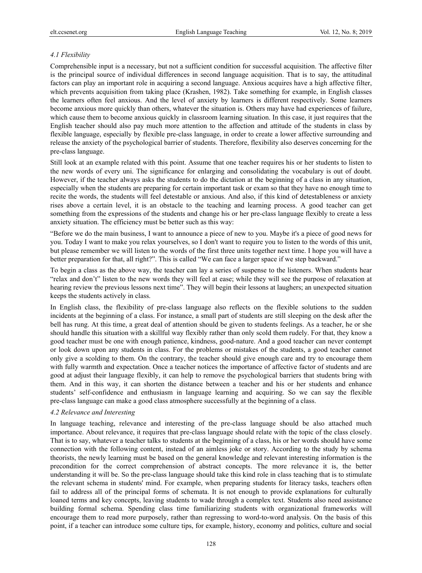## *4.1 Flexibility*

Comprehensible input is a necessary, but not a sufficient condition for successful acquisition. The affective filter is the principal source of individual differences in second language acquisition. That is to say, the attitudinal factors can play an important role in acquiring a second language. Anxious acquires have a high affective filter, which prevents acquisition from taking place (Krashen, 1982). Take something for example, in English classes the learners often feel anxious. And the level of anxiety by learners is different respectively. Some learners become anxious more quickly than others, whatever the situation is. Others may have had experiences of failure, which cause them to become anxious quickly in classroom learning situation. In this case, it just requires that the English teacher should also pay much more attention to the affection and attitude of the students in class by flexible language, especially by flexible pre-class language, in order to create a lower affective surrounding and release the anxiety of the psychological barrier of students. Therefore, flexibility also deserves concerning for the pre-class language.

Still look at an example related with this point. Assume that one teacher requires his or her students to listen to the new words of every uni. The significance for enlarging and consolidating the vocabulary is out of doubt. However, if the teacher always asks the students to do the dictation at the beginning of a class in any situation, especially when the students are preparing for certain important task or exam so that they have no enough time to recite the words, the students will feel detestable or anxious. And also, if this kind of detestableness or anxiety rises above a certain level, it is an obstacle to the teaching and learning process. A good teacher can get something from the expressions of the students and change his or her pre-class language flexibly to create a less anxiety situation. The efficiency must be better such as this way:

"Before we do the main business, I want to announce a piece of new to you. Maybe it's a piece of good news for you. Today I want to make you relax yourselves, so I don't want to require you to listen to the words of this unit, but please remember we will listen to the words of the first three units together next time. I hope you will have a better preparation for that, all right?". This is called "We can face a larger space if we step backward."

To begin a class as the above way, the teacher can lay a series of suspense to the listeners. When students hear "relax and don't" listen to the new words they will feel at ease; while they will see the purpose of relaxation at hearing review the previous lessons next time". They will begin their lessons at laughers; an unexpected situation keeps the students actively in class.

In English class, the flexibility of pre-class language also reflects on the flexible solutions to the sudden incidents at the beginning of a class. For instance, a small part of students are still sleeping on the desk after the bell has rung. At this time, a great deal of attention should be given to students feelings. As a teacher, he or she should handle this situation with a skillful way flexibly rather than only scold them rudely. For that, they know a good teacher must be one with enough patience, kindness, good-nature. And a good teacher can never contempt or look down upon any students in class. For the problems or mistakes of the students, a good teacher cannot only give a scolding to them. On the contrary, the teacher should give enough care and try to encourage them with fully warmth and expectation. Once a teacher notices the importance of affective factor of students and are good at adjust their language flexibly, it can help to remove the psychological barriers that students bring with them. And in this way, it can shorten the distance between a teacher and his or her students and enhance students' self-confidence and enthusiasm in language learning and acquiring. So we can say the flexible pre-class language can make a good class atmosphere successfully at the beginning of a class.

## *4.2 Relevance and Interesting*

In language teaching, relevance and interesting of the pre-class language should be also attached much importance. About relevance, it requires that pre-class language should relate with the topic of the class closely. That is to say, whatever a teacher talks to students at the beginning of a class, his or her words should have some connection with the following content, instead of an aimless joke or story. According to the study by schema theorists, the newly learning must be based on the general knowledge and relevant interesting information is the precondition for the correct comprehension of abstract concepts. The more relevance it is, the better understanding it will be. So the pre-class language should take this kind role in class teaching that is to stimulate the relevant schema in students' mind. For example, when preparing students for literacy tasks, teachers often fail to address all of the principal forms of schemata. It is not enough to provide explanations for culturally loaned terms and key concepts, leaving students to wade through a complex text. Students also need assistance building formal schema. Spending class time familiarizing students with organizational frameworks will encourage them to read more purposely, rather than regressing to word-to-word analysis. On the basis of this point, if a teacher can introduce some culture tips, for example, history, economy and politics, culture and social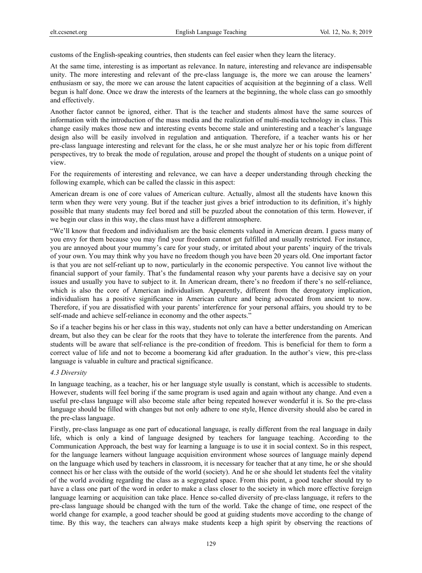customs of the English-speaking countries, then students can feel easier when they learn the literacy.

At the same time, interesting is as important as relevance. In nature, interesting and relevance are indispensable unity. The more interesting and relevant of the pre-class language is, the more we can arouse the learners' enthusiasm or say, the more we can arouse the latent capacities of acquisition at the beginning of a class. Well begun is half done. Once we draw the interests of the learners at the beginning, the whole class can go smoothly and effectively.

Another factor cannot be ignored, either. That is the teacher and students almost have the same sources of information with the introduction of the mass media and the realization of multi-media technology in class. This change easily makes those new and interesting events become stale and uninteresting and a teacher's language design also will be easily involved in regulation and antiquation. Therefore, if a teacher wants his or her pre-class language interesting and relevant for the class, he or she must analyze her or his topic from different perspectives, try to break the mode of regulation, arouse and propel the thought of students on a unique point of view.

For the requirements of interesting and relevance, we can have a deeper understanding through checking the following example, which can be called the classic in this aspect:

American dream is one of core values of American culture. Actually, almost all the students have known this term when they were very young. But if the teacher just gives a brief introduction to its definition, it's highly possible that many students may feel bored and still be puzzled about the connotation of this term. However, if we begin our class in this way, the class must have a different atmosphere.

"We'll know that freedom and individualism are the basic elements valued in American dream. I guess many of you envy for them because you may find your freedom cannot get fulfilled and usually restricted. For instance, you are annoyed about your mummy's care for your study, or irritated about your parents' inquiry of the trivals of your own. You may think why you have no freedom though you have been 20 years old. One important factor is that you are not self-reliant up to now, particularly in the economic perspective. You cannot live without the financial support of your family. That's the fundamental reason why your parents have a decisive say on your issues and usually you have to subject to it. In American dream, there's no freedom if there's no self-reliance, which is also the core of American individualism. Apparently, different from the derogatory implication, individualism has a positive significance in American culture and being advocated from ancient to now. Therefore, if you are dissatisfied with your parents' interference for your personal affairs, you should try to be self-made and achieve self-reliance in economy and the other aspects."

So if a teacher begins his or her class in this way, students not only can have a better understanding on American dream, but also they can be clear for the roots that they have to tolerate the interference from the parents. And students will be aware that self-reliance is the pre-condition of freedom. This is beneficial for them to form a correct value of life and not to become a boomerang kid after graduation. In the author's view, this pre-class language is valuable in culture and practical significance.

#### *4.3 Diversity*

In language teaching, as a teacher, his or her language style usually is constant, which is accessible to students. However, students will feel boring if the same program is used again and again without any change. And even a useful pre-class language will also become stale after being repeated however wonderful it is. So the pre-class language should be filled with changes but not only adhere to one style, Hence diversity should also be cared in the pre-class language.

Firstly, pre-class language as one part of educational language, is really different from the real language in daily life, which is only a kind of language designed by teachers for language teaching. According to the Communication Approach, the best way for learning a language is to use it in social context. So in this respect, for the language learners without language acquisition environment whose sources of language mainly depend on the language which used by teachers in classroom, it is necessary for teacher that at any time, he or she should connect his or her class with the outside of the world (society). And he or she should let students feel the vitality of the world avoiding regarding the class as a segregated space. From this point, a good teacher should try to have a class one part of the word in order to make a class closer to the society in which more effective foreign language learning or acquisition can take place. Hence so-called diversity of pre-class language, it refers to the pre-class language should be changed with the turn of the world. Take the change of time, one respect of the world change for example, a good teacher should be good at guiding students move according to the change of time. By this way, the teachers can always make students keep a high spirit by observing the reactions of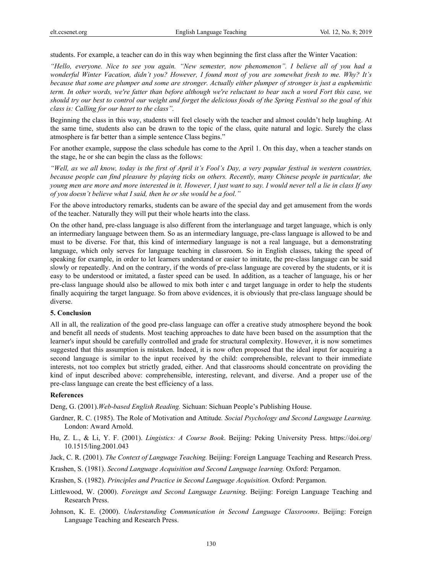students. For example, a teacher can do in this way when beginning the first class after the Winter Vacation:

*"Hello, everyone. Nice to see you again. "New semester, now phenomenon". I believe all of you had a wonderful Winter Vacation, didn't you? However, I found most of you are somewhat fresh to me. Why? It's because that some are plumper and some are stronger. Actually either plumper of stronger is just a euphemistic term. In other words, we're fatter than before although we're reluctant to bear such a word Fort this case, we should try our best to control our weight and forget the delicious foods of the Spring Festival so the goal of this class is: Calling for our heart to the class".* 

Beginning the class in this way, students will feel closely with the teacher and almost couldn't help laughing. At the same time, students also can be drawn to the topic of the class, quite natural and logic. Surely the class atmosphere is far better than a simple sentence Class begins."

For another example, suppose the class schedule has come to the April 1. On this day, when a teacher stands on the stage, he or she can begin the class as the follows:

*"Well, as we all know, today is the first of April it's Fool's Day, a very popular festival in western countries, because people can find pleasure by playing ticks on others. Recently, many Chinese people in particular, the young men are more and more interested in it. However, I just want to say. I would never tell a lie in class If any of you doesn't believe what I said, then he or she would be a fool."* 

For the above introductory remarks, students can be aware of the special day and get amusement from the words of the teacher. Naturally they will put their whole hearts into the class.

On the other hand, pre-class language is also different from the interlanguage and target language, which is only an intermediary language between them. So as an intermediary language, pre-class language is allowed to be and must to be diverse. For that, this kind of intermediary language is not a real language, but a demonstrating language, which only serves for language teaching in classroom. So in English classes, taking the speed of speaking for example, in order to let learners understand or easier to imitate, the pre-class language can be said slowly or repeatedly. And on the contrary, if the words of pre-class language are covered by the students, or it is easy to be understood or imitated, a faster speed can be used. In addition, as a teacher of language, his or her pre-class language should also be allowed to mix both inter c and target language in order to help the students finally acquiring the target language. So from above evidences, it is obviously that pre-class language should be diverse.

#### **5. Conclusion**

All in all, the realization of the good pre-class language can offer a creative study atmosphere beyond the book and benefit all needs of students. Most teaching approaches to date have been based on the assumption that the learner's input should be carefully controlled and grade for structural complexity. However, it is now sometimes suggested that this assumption is mistaken. Indeed, it is now often proposed that the ideal input for acquiring a second language is similar to the input received by the child: comprehensible, relevant to their immediate interests, not too complex but strictly graded, either. And that classrooms should concentrate on providing the kind of input described above: comprehensible, interesting, relevant, and diverse. And a proper use of the pre-class language can create the best efficiency of a lass.

#### **References**

Deng, G. (2001).*Web-based English Reading.* Sichuan: Sichuan People's Publishing House.

- Gardner, R. C. (1985). The Role of Motivation and Attitude*. Social Psychology and Second Language Learning.* London: Award Arnold.
- Hu, Z. L., & Li, Y. F. (2001). *Lingistics: A Course Book*. Beijing: Peking University Press. https://doi.org/ 10.1515/ling.2001.043
- Jack, C. R. (2001). *The Context of Language Teaching.* Beijing: Foreign Language Teaching and Research Press.
- Krashen, S. (1981). *Second Language Acquisition and Second Language learning.* Oxford: Pergamon.
- Krashen, S. (1982). *Principles and Practice in Second Language Acquisition.* Oxford: Pergamon.
- Littlewood, W. (2000). *Foreingn and Second Language Learning*. Beijing: Foreign Language Teaching and Research Press.
- Johnson, K. E. (2000). *Understanding Communication in Second Language Classrooms*. Beijing: Foreign Language Teaching and Research Press.